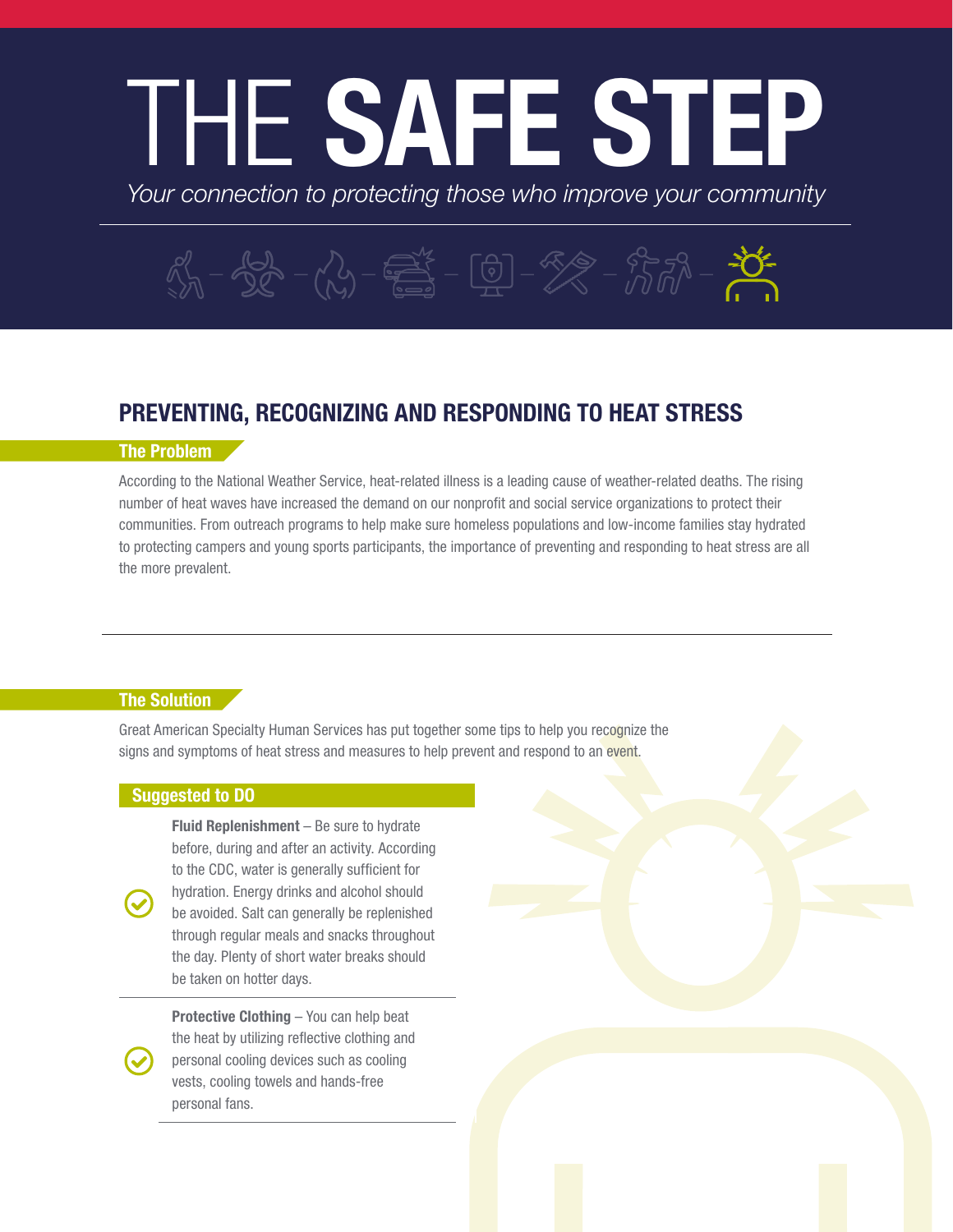# THE SAFE STEP

*Your connection to protecting those who improve your community*

## $\frac{1}{2} - \frac{1}{2}$  - (2) -  $\frac{1}{2}$  - (2) - 2 - (

### PREVENTING, RECOGNIZING AND RESPONDING TO HEAT STRESS

#### The Problem

According to the National Weather Service, heat-related illness is a leading cause of weather-related deaths. The rising number of heat waves have increased the demand on our nonprofit and social service organizations to protect their communities. From outreach programs to help make sure homeless populations and low-income families stay hydrated to protecting campers and young sports participants, the importance of preventing and responding to heat stress are all the more prevalent.

#### The Solution

Great American Specialty Human Services has put together some tips to help you recognize the signs and symptoms of heat stress and measures to help prevent and respond to an event.

#### Suggested to DO

Fluid Replenishment – Be sure to hydrate before, during and after an activity. According to the CDC, water is generally sufficient for hydration. Energy drinks and alcohol should be avoided. Salt can generally be replenished through regular meals and snacks throughout the day. Plenty of short water breaks should be taken on hotter days.

Protective Clothing – You can help beat the heat by utilizing reflective clothing and personal cooling devices such as cooling vests, cooling towels and hands-free personal fans.